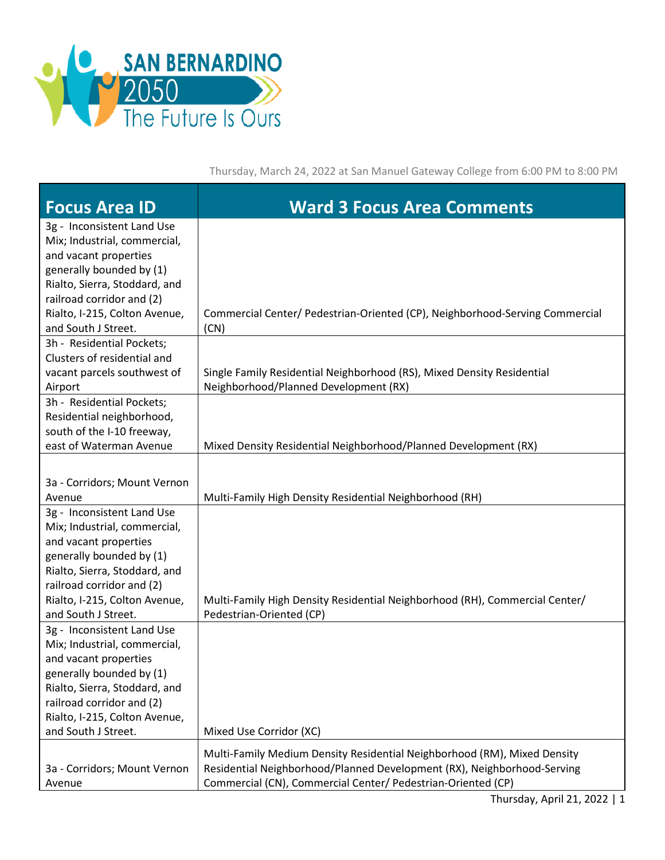

Thursday, March 24, 2022 at San Manuel Gateway College from 6:00 PM to 8:00 PM

| <b>Focus Area ID</b>                                                                                                                                                                                           | <b>Ward 3 Focus Area Comments</b>                                                                                                                                                                                   |
|----------------------------------------------------------------------------------------------------------------------------------------------------------------------------------------------------------------|---------------------------------------------------------------------------------------------------------------------------------------------------------------------------------------------------------------------|
| 3g - Inconsistent Land Use<br>Mix; Industrial, commercial,<br>and vacant properties<br>generally bounded by (1)<br>Rialto, Sierra, Stoddard, and<br>railroad corridor and (2)                                  |                                                                                                                                                                                                                     |
| Rialto, I-215, Colton Avenue,<br>and South J Street.                                                                                                                                                           | Commercial Center/ Pedestrian-Oriented (CP), Neighborhood-Serving Commercial<br>(CN)                                                                                                                                |
| 3h - Residential Pockets;<br>Clusters of residential and<br>vacant parcels southwest of<br>Airport                                                                                                             | Single Family Residential Neighborhood (RS), Mixed Density Residential<br>Neighborhood/Planned Development (RX)                                                                                                     |
| 3h - Residential Pockets;<br>Residential neighborhood,<br>south of the I-10 freeway,<br>east of Waterman Avenue                                                                                                | Mixed Density Residential Neighborhood/Planned Development (RX)                                                                                                                                                     |
| 3a - Corridors; Mount Vernon                                                                                                                                                                                   |                                                                                                                                                                                                                     |
| Avenue                                                                                                                                                                                                         | Multi-Family High Density Residential Neighborhood (RH)                                                                                                                                                             |
| 3g - Inconsistent Land Use<br>Mix; Industrial, commercial,<br>and vacant properties<br>generally bounded by (1)<br>Rialto, Sierra, Stoddard, and<br>railroad corridor and (2)                                  |                                                                                                                                                                                                                     |
| Rialto, I-215, Colton Avenue,<br>and South J Street.                                                                                                                                                           | Multi-Family High Density Residential Neighborhood (RH), Commercial Center/<br>Pedestrian-Oriented (CP)                                                                                                             |
| 3g - Inconsistent Land Use<br>Mix; Industrial, commercial,<br>and vacant properties<br>generally bounded by (1)<br>Rialto, Sierra, Stoddard, and<br>railroad corridor and (2)<br>Rialto, I-215, Colton Avenue, |                                                                                                                                                                                                                     |
| and South J Street.                                                                                                                                                                                            | Mixed Use Corridor (XC)                                                                                                                                                                                             |
| 3a - Corridors; Mount Vernon<br>Avenue                                                                                                                                                                         | Multi-Family Medium Density Residential Neighborhood (RM), Mixed Density<br>Residential Neighborhood/Planned Development (RX), Neighborhood-Serving<br>Commercial (CN), Commercial Center/ Pedestrian-Oriented (CP) |